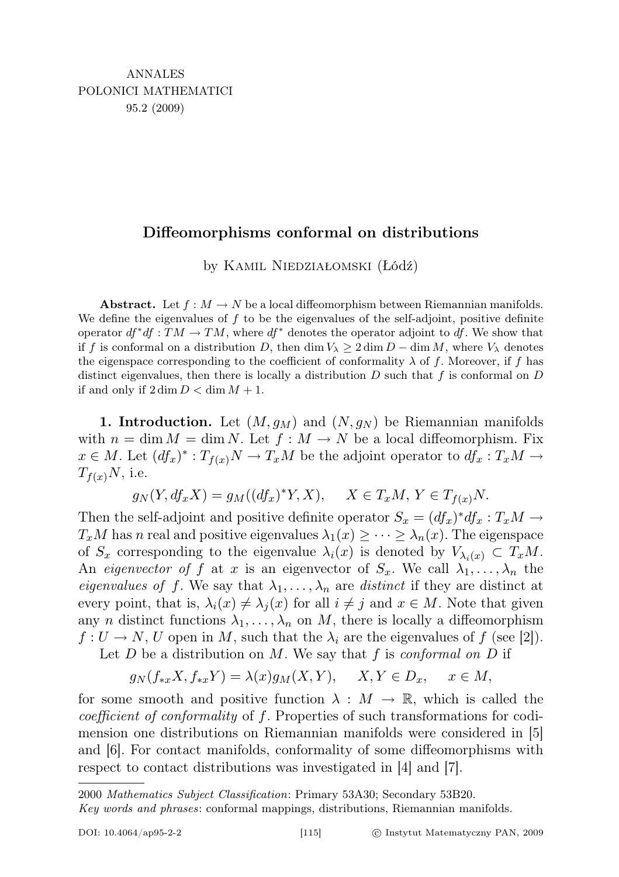# Diffeomorphisms conformal on distributions

by Kamil Niedziałomski (Łódź)

**Abstract.** Let  $f : M \to N$  be a local diffeomorphism between Riemannian manifolds. We define the eigenvalues of  $f$  to be the eigenvalues of the self-adjoint, positive definite operator  $df^*df : TM \to TM$ , where  $df^*$  denotes the operator adjoint to df. We show that if f is conformal on a distribution D, then dim  $V_{\lambda} \geq 2 \dim D - \dim M$ , where  $V_{\lambda}$  denotes the eigenspace corresponding to the coefficient of conformality  $\lambda$  of f. Moreover, if f has distinct eigenvalues, then there is locally a distribution  $D$  such that f is conformal on  $D$ if and only if  $2 \dim D < \dim M + 1$ .

1. Introduction. Let  $(M, g_M)$  and  $(N, g_N)$  be Riemannian manifolds with  $n = \dim M = \dim N$ . Let  $f : M \to N$  be a local diffeomorphism. Fix  $x \in M$ . Let  $(df_x)^* : T_{f(x)}N \to T_xM$  be the adjoint operator to  $df_x : T_xM \to$  $T_{f(x)}N$ , i.e.

$$
g_N(Y, df_x X) = g_M((df_x)^* Y, X), \quad X \in T_xM, Y \in T_{f(x)}N.
$$

Then the self-adjoint and positive definite operator  $S_x = (df_x)^* df_x : T_x M \to$  $T_xM$  has n real and positive eigenvalues  $\lambda_1(x) \geq \cdots \geq \lambda_n(x)$ . The eigenspace of  $S_x$  corresponding to the eigenvalue  $\lambda_i(x)$  is denoted by  $V_{\lambda_i(x)} \subset T_xM$ . An *eigenvector of f* at x is an eigenvector of  $S_x$ . We call  $\lambda_1, \ldots, \lambda_n$  the *eigenvalues of f.* We say that  $\lambda_1, \ldots, \lambda_n$  are *distinct* if they are distinct at every point, that is,  $\lambda_i(x) \neq \lambda_j(x)$  for all  $i \neq j$  and  $x \in M$ . Note that given any *n* distinct functions  $\lambda_1, \ldots, \lambda_n$  on *M*, there is locally a diffeomorphism  $f: U \to N$ , U open in M, such that the  $\lambda_i$  are the eigenvalues of f (see [2]).

Let  $D$  be a distribution on  $M$ . We say that  $f$  is conformal on  $D$  if

$$
g_N(f_{*x}X, f_{*x}Y) = \lambda(x)g_M(X, Y), \quad X, Y \in D_x, \quad x \in M,
$$

for some smooth and positive function  $\lambda : M \to \mathbb{R}$ , which is called the coefficient of conformality of f. Properties of such transformations for codimension one distributions on Riemannian manifolds were considered in [5] and [6]. For contact manifolds, conformality of some diffeomorphisms with respect to contact distributions was investigated in [4] and [7].

2000 Mathematics Subject Classification: Primary 53A30; Secondary 53B20.

Key words and phrases: conformal mappings, distributions, Riemannian manifolds.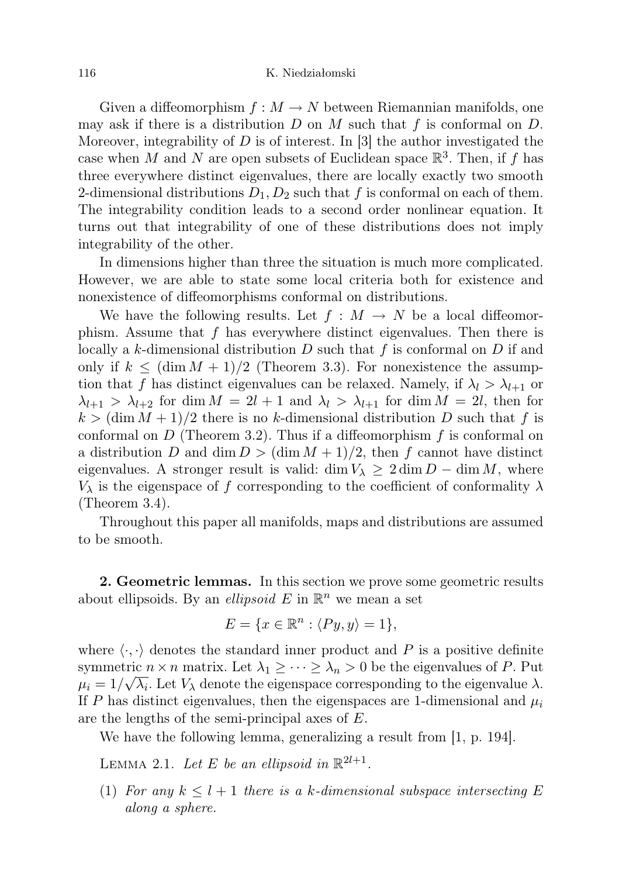Given a diffeomorphism  $f : M \to N$  between Riemannian manifolds, one may ask if there is a distribution  $D$  on  $M$  such that  $f$  is conformal on  $D$ . Moreover, integrability of  $D$  is of interest. In [3] the author investigated the case when M and N are open subsets of Euclidean space  $\mathbb{R}^3$ . Then, if f has three everywhere distinct eigenvalues, there are locally exactly two smooth 2-dimensional distributions  $D_1, D_2$  such that f is conformal on each of them. The integrability condition leads to a second order nonlinear equation. It turns out that integrability of one of these distributions does not imply integrability of the other.

In dimensions higher than three the situation is much more complicated. However, we are able to state some local criteria both for existence and nonexistence of diffeomorphisms conformal on distributions.

We have the following results. Let  $f : M \to N$  be a local diffeomorphism. Assume that  $f$  has everywhere distinct eigenvalues. Then there is locally a k-dimensional distribution D such that f is conformal on D if and only if  $k \leq (\dim M + 1)/2$  (Theorem 3.3). For nonexistence the assumption that f has distinct eigenvalues can be relaxed. Namely, if  $\lambda_l > \lambda_{l+1}$  or  $\lambda_{l+1} > \lambda_{l+2}$  for dim  $M = 2l + 1$  and  $\lambda_l > \lambda_{l+1}$  for dim  $M = 2l$ , then for  $k > (\dim M + 1)/2$  there is no k-dimensional distribution D such that f is conformal on  $D$  (Theorem 3.2). Thus if a diffeomorphism  $f$  is conformal on a distribution D and dim  $D > (\dim M + 1)/2$ , then f cannot have distinct eigenvalues. A stronger result is valid: dim  $V_{\lambda} \geq 2 \dim D - \dim M$ , where  $V_{\lambda}$  is the eigenspace of f corresponding to the coefficient of conformality  $\lambda$ (Theorem 3.4).

Throughout this paper all manifolds, maps and distributions are assumed to be smooth.

2. Geometric lemmas. In this section we prove some geometric results about ellipsoids. By an *ellipsoid*  $E$  in  $\mathbb{R}^n$  we mean a set

$$
E = \{x \in \mathbb{R}^n : \langle Py, y \rangle = 1\},\
$$

where  $\langle \cdot, \cdot \rangle$  denotes the standard inner product and P is a positive definite symmetric  $n \times n$  matrix. Let  $\lambda_1 \geq \cdots \geq \lambda_n > 0$  be the eigenvalues of P. Put  $\mu_i = 1/\sqrt{\lambda_i}$ . Let  $V_\lambda$  denote the eigenspace corresponding to the eigenvalue  $\lambda$ . If P has distinct eigenvalues, then the eigenspaces are 1-dimensional and  $\mu_i$ are the lengths of the semi-principal axes of E.

We have the following lemma, generalizing a result from [1, p. 194].

LEMMA 2.1. Let E be an ellipsoid in  $\mathbb{R}^{2l+1}$ .

(1) For any  $k \leq l+1$  there is a k-dimensional subspace intersecting E along a sphere.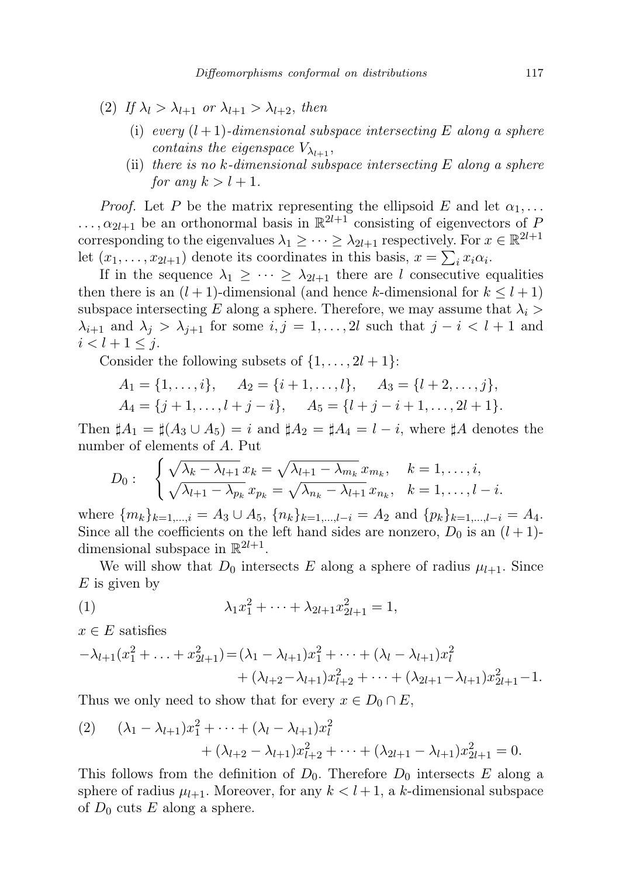- (2) If  $\lambda_l > \lambda_{l+1}$  or  $\lambda_{l+1} > \lambda_{l+2}$ , then
	- (i) every  $(l+1)$ -dimensional subspace intersecting E along a sphere contains the eigenspace  $V_{\lambda_{l+1}}$ ,
	- (ii) there is no  $k$ -dimensional subspace intersecting  $E$  along a sphere for any  $k > l + 1$ .

*Proof.* Let P be the matrix representing the ellipsoid E and let  $\alpha_1, \ldots$  $\ldots, \alpha_{2l+1}$  be an orthonormal basis in  $\mathbb{R}^{2l+1}$  consisting of eigenvectors of P corresponding to the eigenvalues  $\lambda_1 \geq \cdots \geq \lambda_{2l+1}$  respectively. For  $x \in \mathbb{R}^{2l+1}$ let  $(x_1, \ldots, x_{2l+1})$  denote its coordinates in this basis,  $x = \sum_i x_i \alpha_i$ .

If in the sequence  $\lambda_1 \geq \cdots \geq \lambda_{2l+1}$  there are l consecutive equalities then there is an  $(l + 1)$ -dimensional (and hence k-dimensional for  $k \leq l + 1$ ) subspace intersecting E along a sphere. Therefore, we may assume that  $\lambda_i$  $\lambda_{i+1}$  and  $\lambda_j > \lambda_{j+1}$  for some  $i, j = 1, \ldots, 2l$  such that  $j - i < l + 1$  and  $i < l + 1 \leq j.$ 

Consider the following subsets of  $\{1, \ldots, 2l+1\}$ :

$$
A_1 = \{1, \ldots, i\}, \quad A_2 = \{i+1, \ldots, l\}, \quad A_3 = \{l+2, \ldots, j\},
$$
  

$$
A_4 = \{j+1, \ldots, l+j-i\}, \quad A_5 = \{l+j-i+1, \ldots, 2l+1\}.
$$

Then  $\sharp A_1 = \sharp (A_3 \cup A_5) = i$  and  $\sharp A_2 = \sharp A_4 = l - i$ , where  $\sharp A$  denotes the number of elements of A. Put

$$
D_0: \quad \begin{cases} \sqrt{\lambda_k - \lambda_{l+1}} \, x_k = \sqrt{\lambda_{l+1} - \lambda_{m_k}} \, x_{m_k}, & k = 1, \dots, i, \\ \sqrt{\lambda_{l+1} - \lambda_{p_k}} \, x_{p_k} = \sqrt{\lambda_{n_k} - \lambda_{l+1}} \, x_{n_k}, & k = 1, \dots, l - i. \end{cases}
$$

where  ${m_k}_{k=1,\dots,i} = A_3 \cup A_5, {n_k}_{k=1,\dots,l-i} = A_2$  and  ${p_k}_{k=1,\dots,l-i} = A_4$ . Since all the coefficients on the left hand sides are nonzero,  $D_0$  is an  $(l+1)$ dimensional subspace in  $\mathbb{R}^{2l+1}$ .

We will show that  $D_0$  intersects E along a sphere of radius  $\mu_{l+1}$ . Since  $E$  is given by

(1) 
$$
\lambda_1 x_1^2 + \dots + \lambda_{2l+1} x_{2l+1}^2 = 1,
$$

 $x \in E$  satisfies

$$
-\lambda_{l+1}(x_1^2 + \ldots + x_{2l+1}^2) = (\lambda_1 - \lambda_{l+1})x_1^2 + \cdots + (\lambda_l - \lambda_{l+1})x_l^2
$$
  
+  $(\lambda_{l+2} - \lambda_{l+1})x_{l+2}^2 + \cdots + (\lambda_{2l+1} - \lambda_{l+1})x_{2l+1}^2 - 1.$ 

Thus we only need to show that for every  $x \in D_0 \cap E$ ,

(2) 
$$
(\lambda_1 - \lambda_{l+1})x_1^2 + \dots + (\lambda_l - \lambda_{l+1})x_l^2 + (\lambda_{l+2} - \lambda_{l+1})x_{l+2}^2 + \dots + (\lambda_{2l+1} - \lambda_{l+1})x_{2l+1}^2 = 0.
$$

This follows from the definition of  $D_0$ . Therefore  $D_0$  intersects E along a sphere of radius  $\mu_{l+1}$ . Moreover, for any  $k < l+1$ , a k-dimensional subspace of  $D_0$  cuts E along a sphere.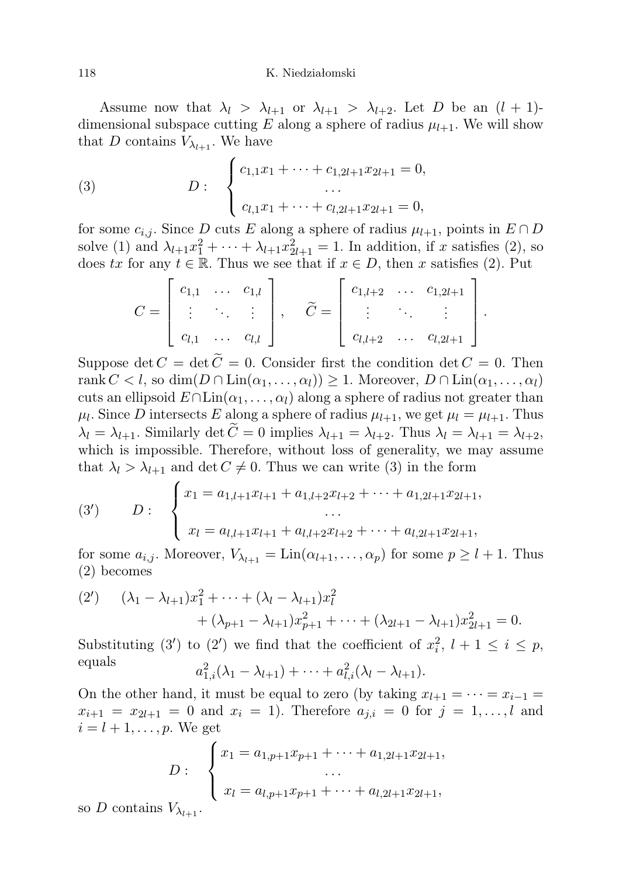Assume now that  $\lambda_l > \lambda_{l+1}$  or  $\lambda_{l+1} > \lambda_{l+2}$ . Let D be an  $(l+1)$ dimensional subspace cutting E along a sphere of radius  $\mu_{l+1}$ . We will show that D contains  $V_{\lambda_{l+1}}$ . We have

(3) 
$$
D: \begin{cases} c_{1,1}x_1 + \cdots + c_{1,2l+1}x_{2l+1} = 0, \\ \cdots \\ c_{l,1}x_1 + \cdots + c_{l,2l+1}x_{2l+1} = 0, \end{cases}
$$

for some  $c_{i,j}$ . Since D cuts E along a sphere of radius  $\mu_{l+1}$ , points in  $E \cap D$ solve (1) and  $\lambda_{l+1}x_1^2 + \cdots + \lambda_{l+1}x_{2l+1}^2 = 1$ . In addition, if x satisfies (2), so does tx for any  $t \in \mathbb{R}$ . Thus we see that if  $x \in D$ , then x satisfies (2). Put

$$
C = \begin{bmatrix} c_{1,1} & \cdots & c_{1,l} \\ \vdots & \ddots & \vdots \\ c_{l,1} & \cdots & c_{l,l} \end{bmatrix}, \quad \widetilde{C} = \begin{bmatrix} c_{1,l+2} & \cdots & c_{1,2l+1} \\ \vdots & \ddots & \vdots \\ c_{l,l+2} & \cdots & c_{l,2l+1} \end{bmatrix}
$$

.

Suppose det  $C = \det \widetilde{C} = 0$ . Consider first the condition  $\det C = 0$ . Then rank  $C < l$ , so  $\dim(D \cap \text{Lin}(\alpha_1, \ldots, \alpha_l)) \geq 1$ . Moreover,  $D \cap \text{Lin}(\alpha_1, \ldots, \alpha_l)$ cuts an ellipsoid  $E \cap \text{Lin}(\alpha_1, \ldots, \alpha_l)$  along a sphere of radius not greater than  $\mu_l$ . Since D intersects E along a sphere of radius  $\mu_{l+1}$ , we get  $\mu_l = \mu_{l+1}$ . Thus  $\lambda_l = \lambda_{l+1}$ . Similarly det  $\tilde{C} = 0$  implies  $\lambda_{l+1} = \lambda_{l+2}$ . Thus  $\lambda_l = \lambda_{l+1} = \lambda_{l+2}$ , which is impossible. Therefore, without loss of generality, we may assume that  $\lambda_l > \lambda_{l+1}$  and det  $C \neq 0$ . Thus we can write (3) in the form

(3') 
$$
D: \begin{cases} x_1 = a_{1,l+1}x_{l+1} + a_{1,l+2}x_{l+2} + \cdots + a_{1,2l+1}x_{2l+1}, \\ \cdots \\ x_l = a_{l,l+1}x_{l+1} + a_{l,l+2}x_{l+2} + \cdots + a_{l,2l+1}x_{2l+1}, \end{cases}
$$

for some  $a_{i,j}$ . Moreover,  $V_{\lambda_{l+1}} = \text{Lin}(\alpha_{l+1}, \ldots, \alpha_p)$  for some  $p \geq l+1$ . Thus (2) becomes

(2') 
$$
(\lambda_1 - \lambda_{l+1})x_1^2 + \dots + (\lambda_l - \lambda_{l+1})x_l^2 + (\lambda_{p+1} - \lambda_{l+1})x_{p+1}^2 + \dots + (\lambda_{2l+1} - \lambda_{l+1})x_{2l+1}^2 = 0.
$$

Substituting (3') to (2') we find that the coefficient of  $x_i^2$ ,  $l + 1 \le i \le p$ , equals  $a_{1,i}^2(\lambda_1 - \lambda_{l+1}) + \cdots + a_{l,i}^2(\lambda_l - \lambda_{l+1}).$ 

On the other hand, it must be equal to zero (by taking  $x_{l+1} = \cdots = x_{i-1} =$  $x_{i+1} = x_{2l+1} = 0$  and  $x_i = 1$ ). Therefore  $a_{j,i} = 0$  for  $j = 1, ..., l$  and  $i = l + 1, \ldots, p$ . We get

$$
D: \begin{cases} x_1 = a_{1,p+1}x_{p+1} + \dots + a_{1,2l+1}x_{2l+1}, \\ \dots \\ x_l = a_{l,p+1}x_{p+1} + \dots + a_{l,2l+1}x_{2l+1}, \end{cases}
$$

so D contains  $V_{\lambda_{l+1}}$ .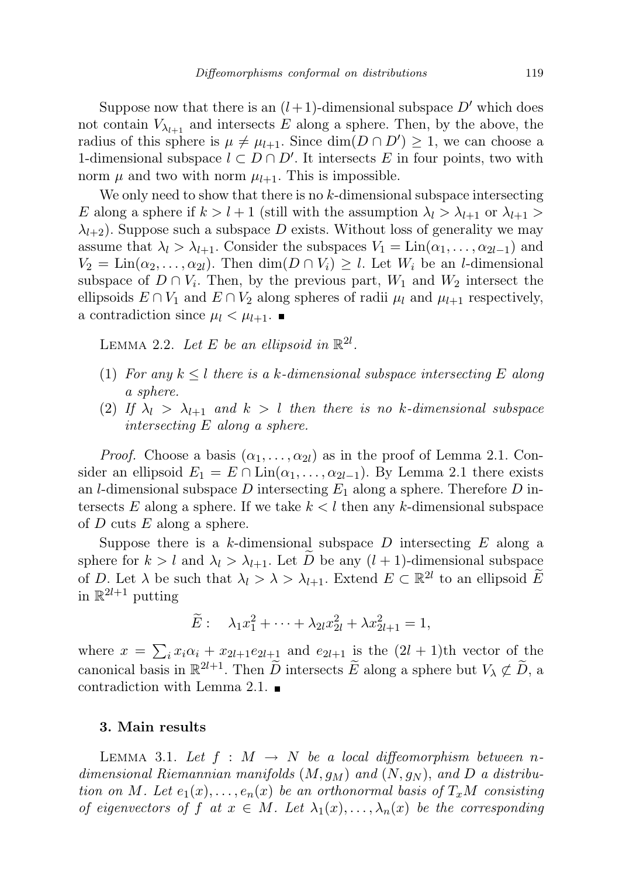Suppose now that there is an  $(l + 1)$ -dimensional subspace  $D'$  which does not contain  $V_{\lambda_{l+1}}$  and intersects E along a sphere. Then, by the above, the radius of this sphere is  $\mu \neq \mu_{l+1}$ . Since  $\dim(D \cap D') \geq 1$ , we can choose a 1-dimensional subspace  $l \subset D \cap D'$ . It intersects E in four points, two with norm  $\mu$  and two with norm  $\mu_{l+1}$ . This is impossible.

We only need to show that there is no  $k$ -dimensional subspace intersecting E along a sphere if  $k > l + 1$  (still with the assumption  $\lambda_l > \lambda_{l+1}$  or  $\lambda_{l+1} >$  $\lambda_{l+2}$ ). Suppose such a subspace D exists. Without loss of generality we may assume that  $\lambda_l > \lambda_{l+1}$ . Consider the subspaces  $V_1 = \text{Lin}(\alpha_1, \ldots, \alpha_{2l-1})$  and  $V_2 = \text{Lin}(\alpha_2, \ldots, \alpha_{2l})$ . Then  $\dim(D \cap V_i) \geq l$ . Let  $W_i$  be an *l*-dimensional subspace of  $D \cap V_i$ . Then, by the previous part,  $W_1$  and  $W_2$  intersect the ellipsoids  $E \cap V_1$  and  $E \cap V_2$  along spheres of radii  $\mu_l$  and  $\mu_{l+1}$  respectively, a contradiction since  $\mu_l < \mu_{l+1}$ .

LEMMA 2.2. Let E be an ellipsoid in  $\mathbb{R}^{2l}$ .

- (1) For any  $k \leq l$  there is a k-dimensional subspace intersecting E along a sphere.
- (2) If  $\lambda_l > \lambda_{l+1}$  and  $k > l$  then there is no k-dimensional subspace intersecting E along a sphere.

*Proof.* Choose a basis  $(\alpha_1, \ldots, \alpha_{2l})$  as in the proof of Lemma 2.1. Consider an ellipsoid  $E_1 = E \cap \text{Lin}(\alpha_1, \ldots, \alpha_{2l-1})$ . By Lemma 2.1 there exists an *l*-dimensional subspace D intersecting  $E_1$  along a sphere. Therefore D intersects E along a sphere. If we take  $k < l$  then any k-dimensional subspace of  $D$  cuts  $E$  along a sphere.

Suppose there is a k-dimensional subspace  $D$  intersecting  $E$  along a sphere for  $k > l$  and  $\lambda_l > \lambda_{l+1}$ . Let D be any  $(l + 1)$ -dimensional subspace of D. Let  $\lambda$  be such that  $\lambda_l > \lambda > \lambda_{l+1}$ . Extend  $E \subset \mathbb{R}^{2l}$  to an ellipsoid  $\widetilde{E}$ in  $\mathbb{R}^{2l+1}$  putting

$$
\widetilde{E}: \quad \lambda_1 x_1^2 + \cdots + \lambda_{2l} x_{2l}^2 + \lambda x_{2l+1}^2 = 1,
$$

where  $x = \sum_i x_i \alpha_i + x_{2l+1} e_{2l+1}$  and  $e_{2l+1}$  is the  $(2l + 1)$ th vector of the canonical basis in  $\mathbb{R}^{2l+1}$ . Then  $\widetilde{D}$  intersects  $\widetilde{E}$  along a sphere but  $V_{\lambda} \not\subset \widetilde{D}$ , a contradiction with Lemma 2.1.

## 3. Main results

LEMMA 3.1. Let  $f : M \to N$  be a local diffeomorphism between ndimensional Riemannian manifolds  $(M, g_M)$  and  $(N, g_N)$ , and D a distribution on M. Let  $e_1(x), \ldots, e_n(x)$  be an orthonormal basis of  $T_xM$  consisting of eigenvectors of f at  $x \in M$ . Let  $\lambda_1(x), \ldots, \lambda_n(x)$  be the corresponding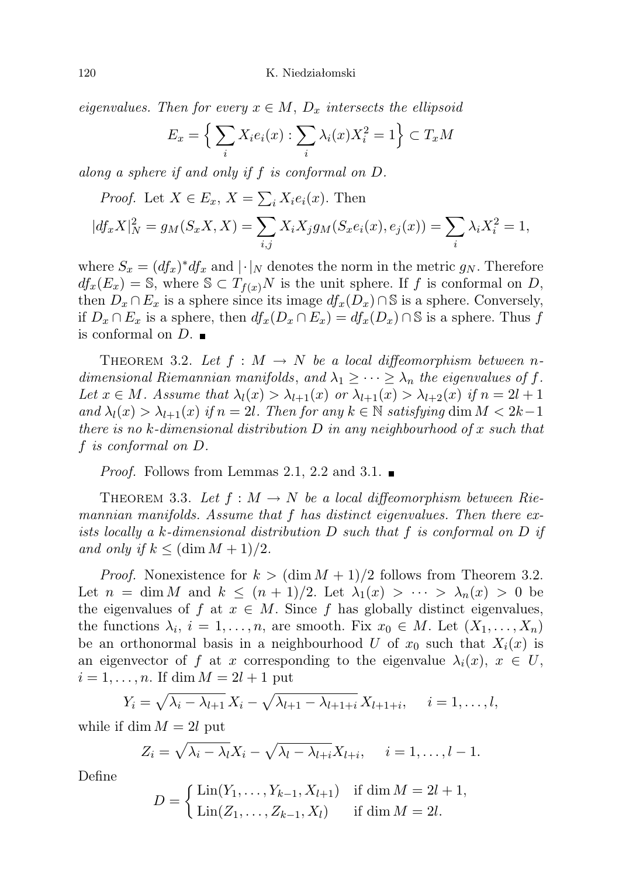120 K. Niedziałomski

eigenvalues. Then for every  $x \in M$ ,  $D_x$  intersects the ellipsoid

$$
E_x = \left\{ \sum_i X_i e_i(x) : \sum_i \lambda_i(x) X_i^2 = 1 \right\} \subset T_x M
$$

along a sphere if and only if f is conformal on D.

*Proof.* Let 
$$
X \in E_x
$$
,  $X = \sum_i X_i e_i(x)$ . Then  
\n
$$
|df_x X|_N^2 = g_M(S_x X, X) = \sum_{i,j} X_i X_j g_M(S_x e_i(x), e_j(x)) = \sum_i \lambda_i X_i^2 = 1,
$$

where  $S_x = (df_x)^* df_x$  and  $|\cdot|_N$  denotes the norm in the metric  $g_N$ . Therefore  $df_x(E_x) = \mathbb{S}$ , where  $\mathbb{S} \subset T_{f(x)}N$  is the unit sphere. If f is conformal on D, then  $D_x \cap E_x$  is a sphere since its image  $df_x(D_x) \cap \mathbb{S}$  is a sphere. Conversely, if  $D_x \cap E_x$  is a sphere, then  $df_x(D_x \cap E_x) = df_x(D_x) \cap \mathbb{S}$  is a sphere. Thus f is conformal on  $D$ .

THEOREM 3.2. Let  $f : M \to N$  be a local diffeomorphism between ndimensional Riemannian manifolds, and  $\lambda_1 \geq \cdots \geq \lambda_n$  the eigenvalues of f. Let  $x \in M$ . Assume that  $\lambda_l(x) > \lambda_{l+1}(x)$  or  $\lambda_{l+1}(x) > \lambda_{l+2}(x)$  if  $n = 2l+1$ and  $\lambda_l(x) > \lambda_{l+1}(x)$  if  $n = 2l$ . Then for any  $k \in \mathbb{N}$  satisfying dim  $M < 2k-1$ there is no k-dimensional distribution  $D$  in any neighbourhood of x such that f is conformal on D.

*Proof.* Follows from Lemmas 2.1, 2.2 and 3.1.

THEOREM 3.3. Let  $f : M \to N$  be a local diffeomorphism between Riemannian manifolds. Assume that f has distinct eigenvalues. Then there exists locally a k-dimensional distribution D such that f is conformal on D if and only if  $k \leq (\dim M + 1)/2$ .

*Proof.* Nonexistence for  $k > (\dim M + 1)/2$  follows from Theorem 3.2. Let  $n = \dim M$  and  $k \leq (n+1)/2$ . Let  $\lambda_1(x) > \cdots > \lambda_n(x) > 0$  be the eigenvalues of f at  $x \in M$ . Since f has globally distinct eigenvalues, the functions  $\lambda_i$ ,  $i = 1, \ldots, n$ , are smooth. Fix  $x_0 \in M$ . Let  $(X_1, \ldots, X_n)$ be an orthonormal basis in a neighbourhood U of  $x_0$  such that  $X_i(x)$  is an eigenvector of f at x corresponding to the eigenvalue  $\lambda_i(x)$ ,  $x \in U$ ,  $i = 1, \ldots, n$ . If dim  $M = 2l + 1$  put

$$
Y_i = \sqrt{\lambda_i - \lambda_{l+1}} X_i - \sqrt{\lambda_{l+1} - \lambda_{l+1+i}} X_{l+1+i}, \quad i = 1, \ldots, l,
$$

while if dim  $M = 2l$  put

$$
Z_i = \sqrt{\lambda_i - \lambda_l} X_i - \sqrt{\lambda_l - \lambda_{l+i}} X_{l+i}, \quad i = 1, \dots, l-1.
$$

Define

$$
D = \begin{cases} \text{Lin}(Y_1, \dots, Y_{k-1}, X_{l+1}) & \text{if } \dim M = 2l+1, \\ \text{Lin}(Z_1, \dots, Z_{k-1}, X_l) & \text{if } \dim M = 2l. \end{cases}
$$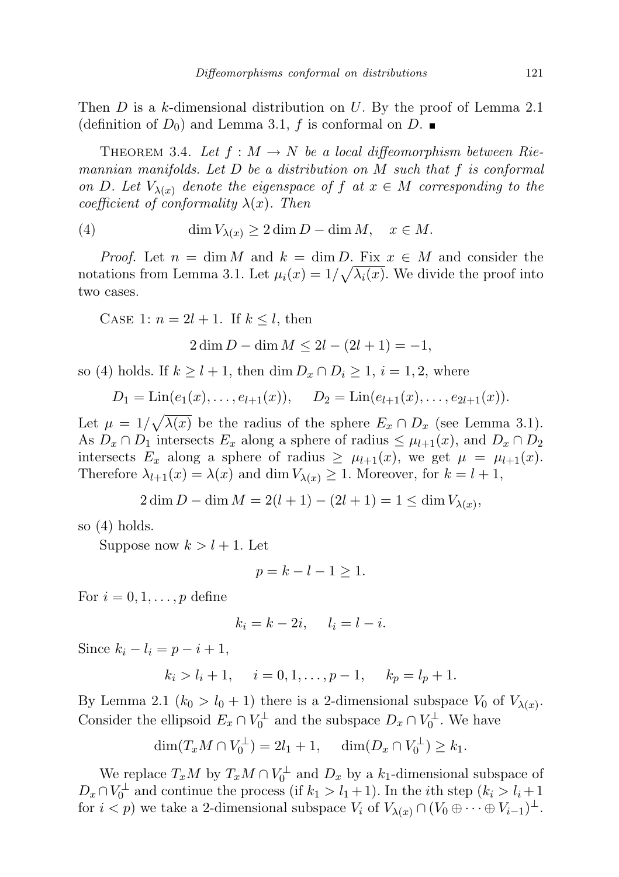Then  $D$  is a k-dimensional distribution on  $U$ . By the proof of Lemma 2.1 (definition of  $D_0$ ) and Lemma 3.1, f is conformal on D.

THEOREM 3.4. Let  $f : M \to N$  be a local diffeomorphism between Riemannian manifolds. Let  $D$  be a distribution on  $M$  such that  $f$  is conformal on D. Let  $V_{\lambda(x)}$  denote the eigenspace of f at  $x \in M$  corresponding to the coefficient of conformality  $\lambda(x)$ . Then

(4) 
$$
\dim V_{\lambda(x)} \ge 2 \dim D - \dim M, \quad x \in M.
$$

*Proof.* Let  $n = \dim M$  and  $k = \dim D$ . Fix  $x \in M$  and consider the notations from Lemma 3.1. Let  $\mu_i(x) = 1/\sqrt{\lambda_i(x)}$ . We divide the proof into two cases.

CASE 1:  $n = 2l + 1$ . If  $k \leq l$ , then

 $2 \dim D - \dim M \le 2l - (2l + 1) = -1,$ 

so (4) holds. If  $k \geq l+1$ , then dim  $D_x \cap D_i \geq 1$ ,  $i = 1, 2$ , where

$$
D_1 = \text{Lin}(e_1(x), \ldots, e_{l+1}(x)), \quad D_2 = \text{Lin}(e_{l+1}(x), \ldots, e_{2l+1}(x)).
$$

Let  $\mu = 1/\sqrt{\lambda(x)}$  be the radius of the sphere  $E_x \cap D_x$  (see Lemma 3.1). As  $D_x \cap D_1$  intersects  $E_x$  along a sphere of radius  $\leq \mu_{l+1}(x)$ , and  $D_x \cap D_2$ intersects  $E_x$  along a sphere of radius  $\geq \mu_{l+1}(x)$ , we get  $\mu = \mu_{l+1}(x)$ . Therefore  $\lambda_{l+1}(x) = \lambda(x)$  and dim  $V_{\lambda(x)} \geq 1$ . Moreover, for  $k = l + 1$ ,

$$
2\dim D - \dim M = 2(l+1) - (2l+1) = 1 \le \dim V_{\lambda(x)},
$$

so (4) holds.

Suppose now  $k > l + 1$ . Let

$$
p = k - l - 1 \ge 1.
$$

For  $i = 0, 1, \ldots, p$  define

$$
k_i = k - 2i, \quad l_i = l - i.
$$

Since  $k_i - l_i = p - i + 1$ ,

$$
k_i > l_i + 1
$$
,  $i = 0, 1, ..., p - 1$ ,  $k_p = l_p + 1$ .

By Lemma 2.1 ( $k_0 > l_0 + 1$ ) there is a 2-dimensional subspace  $V_0$  of  $V_{\lambda(x)}$ . Consider the ellipsoid  $E_x \cap V_0^{\perp}$  and the subspace  $D_x \cap V_0^{\perp}$ . We have

$$
\dim(T_x M \cap V_0^{\perp}) = 2l_1 + 1, \quad \dim(D_x \cap V_0^{\perp}) \ge k_1.
$$

We replace  $T_xM$  by  $T_xM \cap V_0^{\perp}$  and  $D_x$  by a  $k_1$ -dimensional subspace of  $D_x \cap V_0^{\perp}$  and continue the process (if  $k_1 > l_1 + 1$ ). In the *i*th step  $(k_i > l_i + 1)$ for  $i < p$ ) we take a 2-dimensional subspace  $V_i$  of  $V_{\lambda(x)} \cap (V_0 \oplus \cdots \oplus V_{i-1})^{\perp}$ .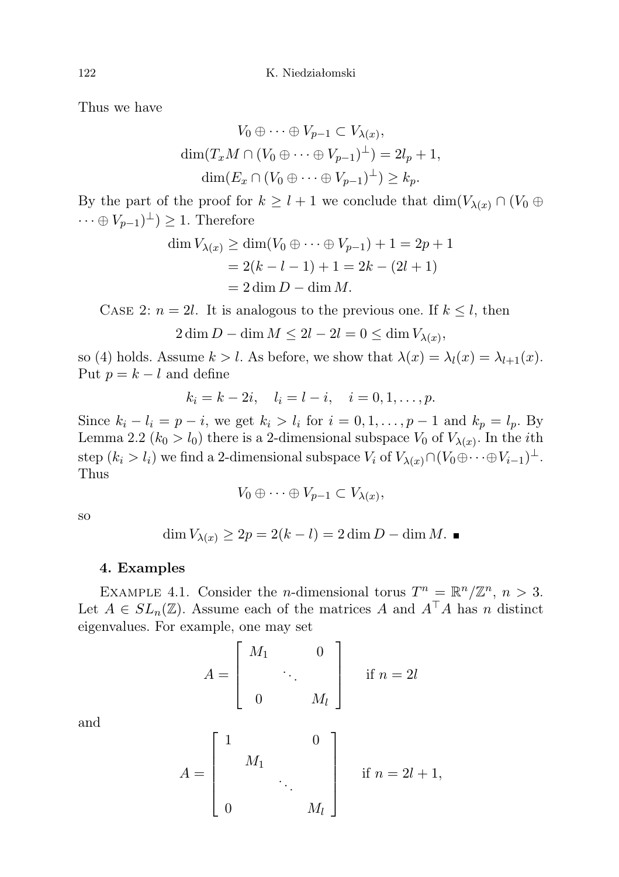Thus we have

$$
V_0 \oplus \cdots \oplus V_{p-1} \subset V_{\lambda(x)},
$$
  
\n
$$
\dim(T_x M \cap (V_0 \oplus \cdots \oplus V_{p-1})^{\perp}) = 2l_p + 1,
$$
  
\n
$$
\dim(E_x \cap (V_0 \oplus \cdots \oplus V_{p-1})^{\perp}) \ge k_p.
$$

By the part of the proof for  $k \geq l + 1$  we conclude that  $\dim(V_{\lambda(x)} \cap (V_0 \oplus V_0))$  $\cdots \oplus V_{p-1})^{\perp}$  > 1. Therefore

$$
\dim V_{\lambda(x)} \ge \dim (V_0 \oplus \cdots \oplus V_{p-1}) + 1 = 2p + 1
$$
  
= 2(k - l - 1) + 1 = 2k - (2l + 1)  
= 2 \dim D - \dim M.

CASE 2:  $n = 2l$ . It is analogous to the previous one. If  $k \leq l$ , then

$$
2\dim D - \dim M \le 2l - 2l = 0 \le \dim V_{\lambda(x)},
$$

so (4) holds. Assume  $k > l$ . As before, we show that  $\lambda(x) = \lambda_l(x) = \lambda_{l+1}(x)$ . Put  $p = k - l$  and define

$$
k_i = k - 2i
$$
,  $l_i = l - i$ ,  $i = 0, 1, ..., p$ .

Since  $k_i - l_i = p - i$ , we get  $k_i > l_i$  for  $i = 0, 1, \ldots, p - 1$  and  $k_p = l_p$ . By Lemma 2.2 ( $k_0 > l_0$ ) there is a 2-dimensional subspace  $V_0$  of  $V_{\lambda(x)}$ . In the *i*th step  $(k_i > l_i)$  we find a 2-dimensional subspace  $V_i$  of  $V_{\lambda(x)} \cap (V_0 \oplus \cdots \oplus V_{i-1})^{\perp}$ . Thus

$$
V_0\oplus\cdots\oplus V_{p-1}\subset V_{\lambda(x)},
$$

so

$$
\dim V_{\lambda(x)} \ge 2p = 2(k - l) = 2\dim D - \dim M. \blacksquare
$$

# 4. Examples

EXAMPLE 4.1. Consider the *n*-dimensional torus  $T^n = \mathbb{R}^n / \mathbb{Z}^n$ ,  $n > 3$ . Let  $A \in SL_n(\mathbb{Z})$ . Assume each of the matrices A and  $A^{\top}A$  has n distinct eigenvalues. For example, one may set

$$
A = \begin{bmatrix} M_1 & 0 \\ & \ddots & \\ 0 & M_l \end{bmatrix} \quad \text{if } n = 2l
$$

and

$$
A = \begin{bmatrix} 1 & & & 0 \\ & M_1 & & \\ & & \ddots & \\ 0 & & & M_l \end{bmatrix} \quad \text{if } n = 2l + 1,
$$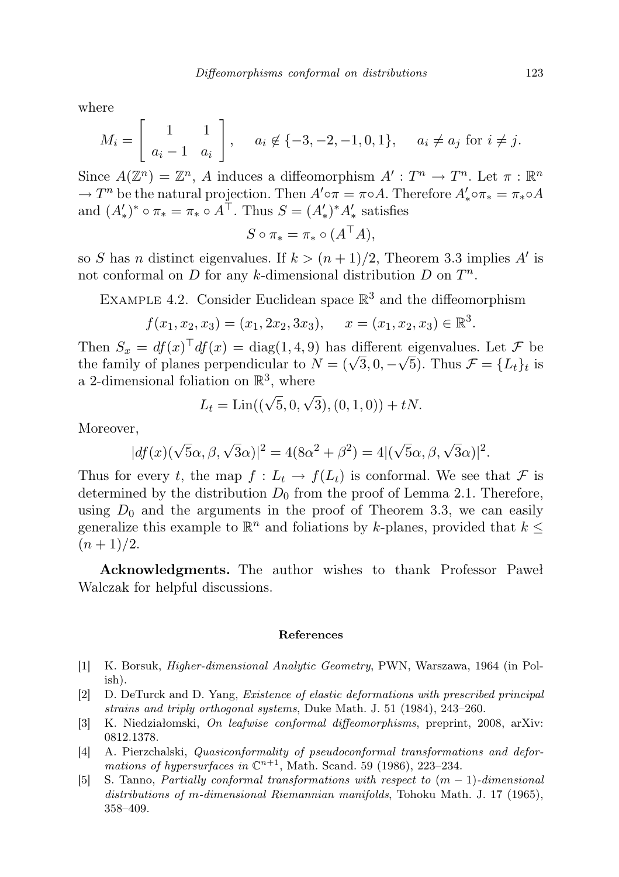where

$$
M_i = \begin{bmatrix} 1 & 1 \\ a_i - 1 & a_i \end{bmatrix}, \quad a_i \notin \{-3, -2, -1, 0, 1\}, \quad a_i \neq a_j \text{ for } i \neq j.
$$

Since  $A(\mathbb{Z}^n) = \mathbb{Z}^n$ , A induces a diffeomorphism  $A': T^n \to T^n$ . Let  $\pi : \mathbb{R}^n$  $\rightarrow T^n$  be the natural projection. Then  $A' \circ \pi = \pi \circ A$ . Therefore  $A'_* \circ \pi_* = \pi_* \circ A$ and  $(A'_*)^* \circ \pi_* = \pi_* \circ A^\top$ . Thus  $S = (A'_*)^* A'_*$  satisfies

$$
S \circ \pi_* = \pi_* \circ (A^{\top} A),
$$

so S has n distinct eigenvalues. If  $k > (n+1)/2$ , Theorem 3.3 implies A' is not conformal on  $D$  for any k-dimensional distribution  $D$  on  $T^n$ .

EXAMPLE 4.2. Consider Euclidean space  $\mathbb{R}^3$  and the diffeomorphism

$$
f(x_1, x_2, x_3) = (x_1, 2x_2, 3x_3),
$$
  $x = (x_1, x_2, x_3) \in \mathbb{R}^3.$ 

Then  $S_x = df(x)^\top df(x) = \text{diag}(1, 4, 9)$  has different eigenvalues. Let  $\mathcal F$  be Then  $S_x = af(x)$  and  $df(x) = \text{diag}(1, 4, 9)$  has different eigenvalues. Let  $\mathcal F$  be the family of planes perpendicular to  $N = (\sqrt{3}, 0, -\sqrt{5})$ . Thus  $\mathcal F = \{L_t\}_t$  is a 2-dimensional foliation on  $\mathbb{R}^3$ , where

$$
L_t = \text{Lin}((\sqrt{5}, 0, \sqrt{3}), (0, 1, 0)) + tN.
$$

Moreover,

$$
|df(x)(\sqrt{5}\alpha, \beta, \sqrt{3}\alpha)|^2 = 4(8\alpha^2 + \beta^2) = 4|(\sqrt{5}\alpha, \beta, \sqrt{3}\alpha)|^2.
$$

Thus for every t, the map  $f: L_t \to f(L_t)$  is conformal. We see that F is determined by the distribution  $D_0$  from the proof of Lemma 2.1. Therefore, using  $D_0$  and the arguments in the proof of Theorem 3.3, we can easily generalize this example to  $\mathbb{R}^n$  and foliations by k-planes, provided that  $k \leq$  $(n+1)/2$ .

Acknowledgments. The author wishes to thank Professor Paweł Walczak for helpful discussions.

#### References

- [1] K. Borsuk, Higher-dimensional Analytic Geometry, PWN, Warszawa, 1964 (in Polish).
- [2] D. DeTurck and D. Yang, Existence of elastic deformations with prescribed principal strains and triply orthogonal systems, Duke Math. J. 51 (1984), 243–260.
- [3] K. Niedziałomski, On leafwise conformal diffeomorphisms, preprint, 2008, arXiv: 0812.1378.
- [4] A. Pierzchalski, Quasiconformality of pseudoconformal transformations and deformations of hypersurfaces in  $\mathbb{C}^{n+1}$ , Math. Scand. 59 (1986), 223-234.
- [5] S. Tanno, Partially conformal transformations with respect to  $(m-1)$ -dimensional distributions of m-dimensional Riemannian manifolds, Tohoku Math. J. 17 (1965), 358–409.